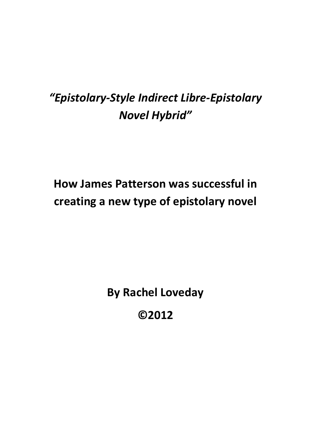# *"Epistolary-Style Indirect Libre-Epistolary Novel Hybrid"*

# **How James Patterson was successful in creating a new type of epistolary novel**

**By Rachel Loveday**

**©2012**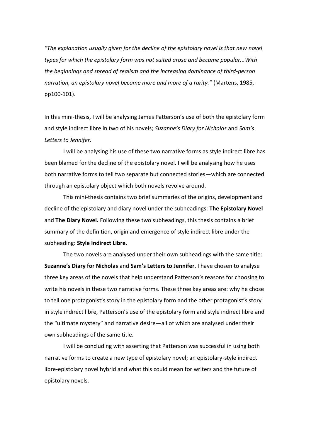*"The explanation usually given for the decline of the epistolary novel is that new novel types for which the epistolary form was not suited arose and became popular...With the beginnings and spread of realism and the increasing dominance of third-person narration, an epistolary novel become more and more of a rarity."* (Martens, 1985, pp100-101).

In this mini-thesis, I will be analysing James Patterson's use of both the epistolary form and style indirect libre in two of his novels; *Suzanne's Diary for Nicholas* and *Sam's Letters to Jennifer.*

I will be analysing his use of these two narrative forms as style indirect libre has been blamed for the decline of the epistolary novel. I will be analysing how he uses both narrative forms to tell two separate but connected stories—which are connected through an epistolary object which both novels revolve around.

This mini-thesis contains two brief summaries of the origins, development and decline of the epistolary and diary novel under the subheadings: **The Epistolary Novel**  and **The Diary Novel.** Following these two subheadings, this thesis contains a brief summary of the definition, origin and emergence of style indirect libre under the subheading: **Style Indirect Libre.**

The two novels are analysed under their own subheadings with the same title: **Suzanne's Diary for Nicholas** and **Sam's Letters to Jennifer**. I have chosen to analyse three key areas of the novels that help understand Patterson's reasons for choosing to write his novels in these two narrative forms. These three key areas are: why he chose to tell one protagonist's story in the epistolary form and the other protagonist's story in style indirect libre, Patterson's use of the epistolary form and style indirect libre and the "ultimate mystery" and narrative desire—all of which are analysed under their own subheadings of the same title.

I will be concluding with asserting that Patterson was successful in using both narrative forms to create a new type of epistolary novel; an epistolary-style indirect libre-epistolary novel hybrid and what this could mean for writers and the future of epistolary novels.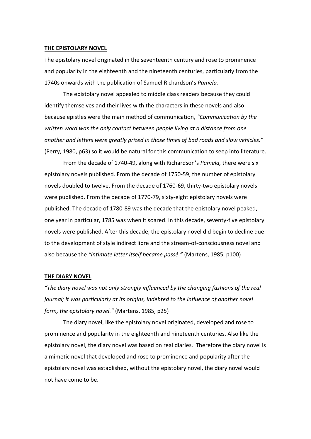#### **THE EPISTOLARY NOVEL**

The epistolary novel originated in the seventeenth century and rose to prominence and popularity in the eighteenth and the nineteenth centuries, particularly from the 1740s onwards with the publication of Samuel Richardson's *Pamela.* 

The epistolary novel appealed to middle class readers because they could identify themselves and their lives with the characters in these novels and also because epistles were the main method of communication, *"Communication by the written word was the only contact between people living at a distance from one another and letters were greatly prized in those times of bad roads and slow vehicles."*  (Perry, 1980, p63) so it would be natural for this communication to seep into literature.

From the decade of 1740-49, along with Richardson's *Pamela,* there were six epistolary novels published. From the decade of 1750-59, the number of epistolary novels doubled to twelve. From the decade of 1760-69, thirty-two epistolary novels were published. From the decade of 1770-79, sixty-eight epistolary novels were published. The decade of 1780-89 was the decade that the epistolary novel peaked, one year in particular, 1785 was when it soared. In this decade, seventy-five epistolary novels were published. After this decade, the epistolary novel did begin to decline due to the development of style indirect libre and the stream-of-consciousness novel and also because the *"intimate letter itself became passé."* (Martens, 1985, p100)

### **THE DIARY NOVEL**

*"The diary novel was not only strongly influenced by the changing fashions of the real journal; it was particularly at its origins, indebted to the influence of another novel form, the epistolary novel."* (Martens, 1985, p25)

The diary novel, like the epistolary novel originated, developed and rose to prominence and popularity in the eighteenth and nineteenth centuries. Also like the epistolary novel, the diary novel was based on real diaries. Therefore the diary novel is a mimetic novel that developed and rose to prominence and popularity after the epistolary novel was established, without the epistolary novel, the diary novel would not have come to be.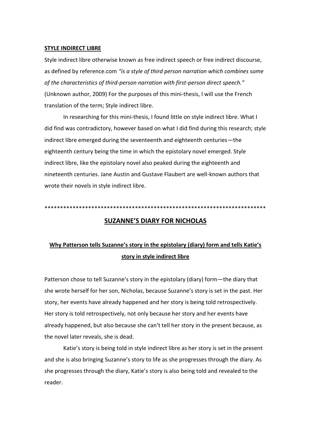### **STYLE INDIRECT LIBRE**

Style indirect libre otherwise known as free indirect speech or free indirect discourse, as defined by reference.com *"is a style of third person narration which combines some of the characteristics of third-person narration with first-person direct speech."* (Unknown author, 2009) For the purposes of this mini-thesis, I will use the French translation of the term; Style indirect libre.

In researching for this mini-thesis, I found little on style indirect libre. What I did find was contradictory, however based on what I did find during this research; style indirect libre emerged during the seventeenth and eighteenth centuries—the eighteenth century being the time in which the epistolary novel emerged. Style indirect libre, like the epistolary novel also peaked during the eighteenth and nineteenth centuries. Jane Austin and Gustave Flaubert are well-known authors that wrote their novels in style indirect libre.

\*\*\*\*\*\*\*\*\*\*\*\*\*\*\*\*\*\*\*\*\*\*\*\*\*\*\*\*\*\*\*\*\*\*\*\*\*\*\*\*\*\*\*\*\*\*\*\*\*\*\*\*\*\*\*\*\*\*\*\*\*\*\*\*\*\*\*\*\*\*\*

# **SUZANNE'S DIARY FOR NICHOLAS**

# **Why Patterson tells Suzanne's story in the epistolary (diary) form and tells Katie's story in style indirect libre**

Patterson chose to tell Suzanne's story in the epistolary (diary) form—the diary that she wrote herself for her son, Nicholas, because Suzanne's story is set in the past. Her story, her events have already happened and her story is being told retrospectively. Her story is told retrospectively, not only because her story and her events have already happened, but also because she can't tell her story in the present because, as the novel later reveals, she is dead.

Katie's story is being told in style indirect libre as her story is set in the present and she is also bringing Suzanne's story to life as she progresses through the diary. As she progresses through the diary, Katie's story is also being told and revealed to the reader.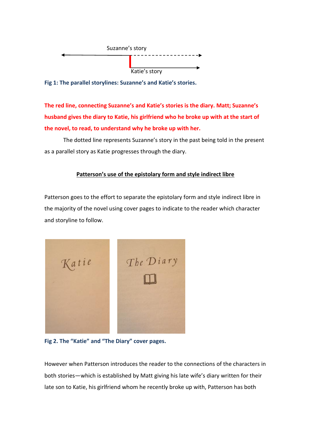

**Fig 1: The parallel storylines: Suzanne's and Katie's stories.**

**The red line, connecting Suzanne's and Katie's stories is the diary. Matt; Suzanne's husband gives the diary to Katie, his girlfriend who he broke up with at the start of the novel, to read, to understand why he broke up with her.**

The dotted line represents Suzanne's story in the past being told in the present as a parallel story as Katie progresses through the diary.

# **Patterson's use of the epistolary form and style indirect libre**

Patterson goes to the effort to separate the epistolary form and style indirect libre in the majority of the novel using cover pages to indicate to the reader which character and storyline to follow.



**Fig 2. The "Katie" and "The Diary" cover pages.**

However when Patterson introduces the reader to the connections of the characters in both stories—which is established by Matt giving his late wife's diary written for their late son to Katie, his girlfriend whom he recently broke up with, Patterson has both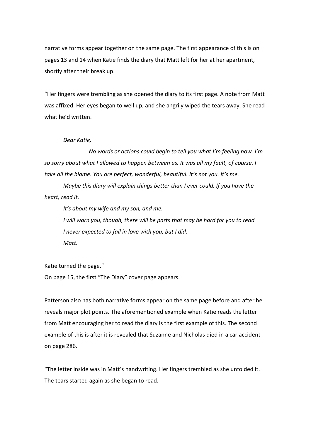narrative forms appear together on the same page. The first appearance of this is on pages 13 and 14 when Katie finds the diary that Matt left for her at her apartment, shortly after their break up.

"Her fingers were trembling as she opened the diary to its first page. A note from Matt was affixed. Her eyes began to well up, and she angrily wiped the tears away. She read what he'd written.

### *Dear Katie,*

 *No words or actions could begin to tell you what I'm feeling now. I'm so sorry about what I allowed to happen between us. It was all my fault, of course. I take all the blame. You are perfect, wonderful, beautiful. It's not you. It's me.*

*Maybe this diary will explain things better than I ever could. If you have the heart, read it.*

*It's about my wife and my son, and me. I will warn you, though, there will be parts that may be hard for you to read. I never expected to fall in love with you, but I did.*

*Matt.*

Katie turned the page."

On page 15, the first "The Diary" cover page appears.

Patterson also has both narrative forms appear on the same page before and after he reveals major plot points. The aforementioned example when Katie reads the letter from Matt encouraging her to read the diary is the first example of this. The second example of this is after it is revealed that Suzanne and Nicholas died in a car accident on page 286.

"The letter inside was in Matt's handwriting. Her fingers trembled as she unfolded it. The tears started again as she began to read.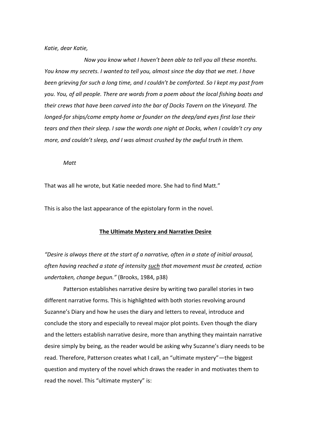### *Katie, dear Katie,*

 *Now you know what I haven't been able to tell you all these months. You know my secrets. I wanted to tell you, almost since the day that we met. I have been grieving for such a long time, and I couldn't be comforted. So I kept my past from you. You, of all people. There are words from a poem about the local fishing boats and their crews that have been carved into the bar of Docks Tavern on the Vineyard. The longed-for ships/come empty home or founder on the deep/and eyes first lose their tears and then their sleep. I saw the words one night at Docks, when I couldn't cry any more, and couldn't sleep, and I was almost crushed by the awful truth in them.*

#### *Matt*

That was all he wrote, but Katie needed more. She had to find Matt."

This is also the last appearance of the epistolary form in the novel.

### **The Ultimate Mystery and Narrative Desire**

*"Desire is always there at the start of a narrative, often in a state of initial arousal, often having reached a state of intensity such that movement must be created, action undertaken, change begun."* (Brooks, 1984, p38)

Patterson establishes narrative desire by writing two parallel stories in two different narrative forms. This is highlighted with both stories revolving around Suzanne's Diary and how he uses the diary and letters to reveal, introduce and conclude the story and especially to reveal major plot points. Even though the diary and the letters establish narrative desire, more than anything they maintain narrative desire simply by being, as the reader would be asking why Suzanne's diary needs to be read. Therefore, Patterson creates what I call, an "ultimate mystery"—the biggest question and mystery of the novel which draws the reader in and motivates them to read the novel. This "ultimate mystery" is: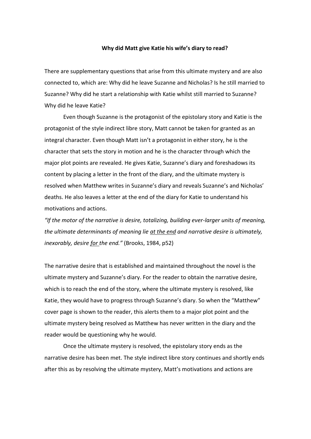### **Why did Matt give Katie his wife's diary to read?**

There are supplementary questions that arise from this ultimate mystery and are also connected to, which are: Why did he leave Suzanne and Nicholas? Is he still married to Suzanne? Why did he start a relationship with Katie whilst still married to Suzanne? Why did he leave Katie?

Even though Suzanne is the protagonist of the epistolary story and Katie is the protagonist of the style indirect libre story, Matt cannot be taken for granted as an integral character. Even though Matt isn't a protagonist in either story, he is the character that sets the story in motion and he is the character through which the major plot points are revealed. He gives Katie, Suzanne's diary and foreshadows its content by placing a letter in the front of the diary, and the ultimate mystery is resolved when Matthew writes in Suzanne's diary and reveals Suzanne's and Nicholas' deaths. He also leaves a letter at the end of the diary for Katie to understand his motivations and actions.

*"If the motor of the narrative is desire, totalizing, building ever-larger units of meaning, the ultimate determinants of meaning lie at the end and narrative desire is ultimately, inexorably, desire for the end."* (Brooks, 1984, p52)

The narrative desire that is established and maintained throughout the novel is the ultimate mystery and Suzanne's diary. For the reader to obtain the narrative desire, which is to reach the end of the story, where the ultimate mystery is resolved, like Katie, they would have to progress through Suzanne's diary. So when the "Matthew" cover page is shown to the reader, this alerts them to a major plot point and the ultimate mystery being resolved as Matthew has never written in the diary and the reader would be questioning why he would.

Once the ultimate mystery is resolved, the epistolary story ends as the narrative desire has been met. The style indirect libre story continues and shortly ends after this as by resolving the ultimate mystery, Matt's motivations and actions are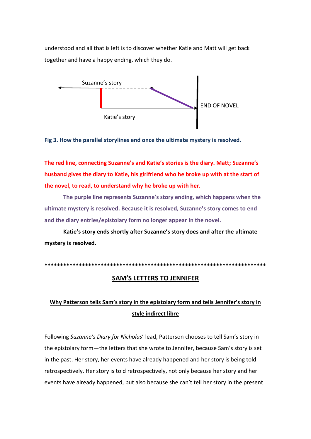understood and all that is left is to discover whether Katie and Matt will get back together and have a happy ending, which they do.



**Fig 3. How the parallel storylines end once the ultimate mystery is resolved.**

**The red line, connecting Suzanne's and Katie's stories is the diary. Matt; Suzanne's husband gives the diary to Katie, his girlfriend who he broke up with at the start of the novel, to read, to understand why he broke up with her.**

**The purple line represents Suzanne's story ending, which happens when the ultimate mystery is resolved. Because it is resolved, Suzanne's story comes to end and the diary entries/epistolary form no longer appear in the novel.** 

**Katie's story ends shortly after Suzanne's story does and after the ultimate mystery is resolved.**

**\*\*\*\*\*\*\*\*\*\*\*\*\*\*\*\*\*\*\*\*\*\*\*\*\*\*\*\*\*\*\*\*\*\*\*\*\*\*\*\*\*\*\*\*\*\*\*\*\*\*\*\*\*\*\*\*\*\*\*\*\*\*\*\*\*\*\*\*\*\*\***

## **SAM'S LETTERS TO JENNIFER**

# **Why Patterson tells Sam's story in the epistolary form and tells Jennifer's story in style indirect libre**

Following *Suzanne's Diary for Nicholas*' lead, Patterson chooses to tell Sam's story in the epistolary form—the letters that she wrote to Jennifer, because Sam's story is set in the past. Her story, her events have already happened and her story is being told retrospectively. Her story is told retrospectively, not only because her story and her events have already happened, but also because she can't tell her story in the present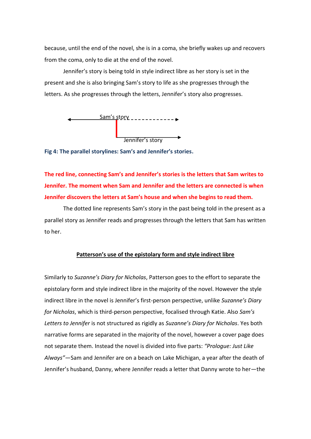because, until the end of the novel, she is in a coma, she briefly wakes up and recovers from the coma, only to die at the end of the novel.

Jennifer's story is being told in style indirect libre as her story is set in the present and she is also bringing Sam's story to life as she progresses through the letters. As she progresses through the letters, Jennifer's story also progresses.



**Fig 4: The parallel storylines: Sam's and Jennifer's stories.**

**The red line, connecting Sam's and Jennifer's stories is the letters that Sam writes to Jennifer. The moment when Sam and Jennifer and the letters are connected is when Jennifer discovers the letters at Sam's house and when she begins to read them.**

The dotted line represents Sam's story in the past being told in the present as a parallel story as Jennifer reads and progresses through the letters that Sam has written to her.

### **Patterson's use of the epistolary form and style indirect libre**

Similarly to *Suzanne's Diary for Nicholas*, Patterson goes to the effort to separate the epistolary form and style indirect libre in the majority of the novel. However the style indirect libre in the novel is Jennifer's first-person perspective, unlike *Suzanne's Diary for Nicholas*, which is third-person perspective, focalised through Katie. Also *Sam's Letters to Jennifer* is not structured as rigidly as *Suzanne's Diary for Nicholas*. Yes both narrative forms are separated in the majority of the novel, however a cover page does not separate them. Instead the novel is divided into five parts: *"Prologue: Just Like Always"*—Sam and Jennifer are on a beach on Lake Michigan, a year after the death of Jennifer's husband, Danny, where Jennifer reads a letter that Danny wrote to her—the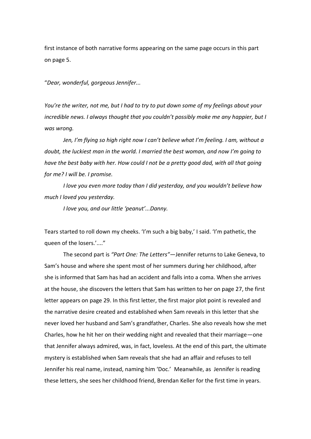first instance of both narrative forms appearing on the same page occurs in this part on page 5.

"*Dear, wonderful, gorgeous Jennifer...*

*You're the writer, not me, but I had to try to put down some of my feelings about your incredible news. I always thought that you couldn't possibly make me any happier, but I was wrong.*

*Jen, I'm flying so high right now I can't believe what I'm feeling. I am, without a doubt, the luckiest man in the world. I married the best woman, and now I'm going to have the best baby with her. How could I not be a pretty good dad, with all that going for me? I will be. I promise.*

*I love you even more today than I did yesterday, and you wouldn't believe how much I loved you yesterday.*

*I love you, and our little 'peanut'...Danny.*

Tears started to roll down my cheeks. 'I'm such a big baby,' I said. 'I'm pathetic, the queen of the losers.'...."

The second part is *"Part One: The Letters"*—Jennifer returns to Lake Geneva, to Sam's house and where she spent most of her summers during her childhood, after she is informed that Sam has had an accident and falls into a coma. When she arrives at the house, she discovers the letters that Sam has written to her on page 27, the first letter appears on page 29. In this first letter, the first major plot point is revealed and the narrative desire created and established when Sam reveals in this letter that she never loved her husband and Sam's grandfather, Charles. She also reveals how she met Charles, how he hit her on their wedding night and revealed that their marriage—one that Jennifer always admired, was, in fact, loveless. At the end of this part, the ultimate mystery is established when Sam reveals that she had an affair and refuses to tell Jennifer his real name, instead, naming him 'Doc.' Meanwhile, as Jennifer is reading these letters, she sees her childhood friend, Brendan Keller for the first time in years.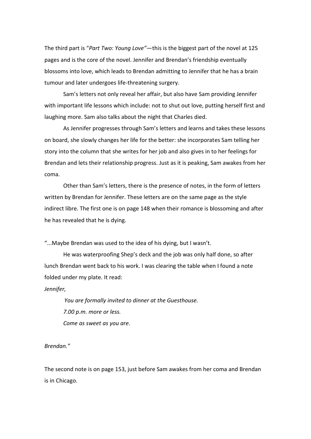The third part is "*Part Two: Young Love"*—this is the biggest part of the novel at 125 pages and is the core of the novel. Jennifer and Brendan's friendship eventually blossoms into love, which leads to Brendan admitting to Jennifer that he has a brain tumour and later undergoes life-threatening surgery.

Sam's letters not only reveal her affair, but also have Sam providing Jennifer with important life lessons which include: not to shut out love, putting herself first and laughing more. Sam also talks about the night that Charles died.

As Jennifer progresses through Sam's letters and learns and takes these lessons on board, she slowly changes her life for the better: she incorporates Sam telling her story into the column that she writes for her job and also gives in to her feelings for Brendan and lets their relationship progress. Just as it is peaking, Sam awakes from her coma.

Other than Sam's letters, there is the presence of notes, in the form of letters written by Brendan for Jennifer. These letters are on the same page as the style indirect libre. The first one is on page 148 when their romance is blossoming and after he has revealed that he is dying.

"...Maybe Brendan was used to the idea of his dying, but I wasn't.

He was waterproofing Shep's deck and the job was only half done, so after lunch Brendan went back to his work. I was clearing the table when I found a note folded under my plate. It read:

*Jennifer,*

 *You are formally invited to dinner at the Guesthouse. 7.00 p.m. more or less. Come as sweet as you are.*

*Brendan."*

The second note is on page 153, just before Sam awakes from her coma and Brendan is in Chicago.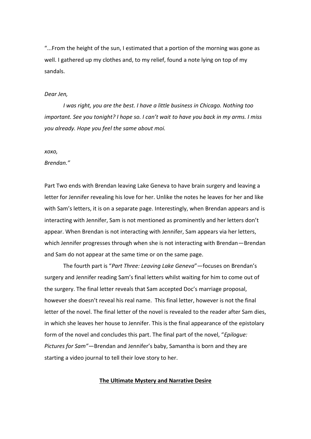"...From the height of the sun, I estimated that a portion of the morning was gone as well. I gathered up my clothes and, to my relief, found a note lying on top of my sandals.

### *Dear Jen,*

*I was right, you are the best. I have a little business in Chicago. Nothing too important. See you tonight? I hope so. I can't wait to have you back in my arms. I miss you already. Hope you feel the same about moi.*

### *xoxo,*

### *Brendan."*

Part Two ends with Brendan leaving Lake Geneva to have brain surgery and leaving a letter for Jennifer revealing his love for her. Unlike the notes he leaves for her and like with Sam's letters, it is on a separate page. Interestingly, when Brendan appears and is interacting with Jennifer, Sam is not mentioned as prominently and her letters don't appear. When Brendan is not interacting with Jennifer, Sam appears via her letters, which Jennifer progresses through when she is not interacting with Brendan—Brendan and Sam do not appear at the same time or on the same page.

The fourth part is "*Part Three: Leaving Lake Geneva*"—focuses on Brendan's surgery and Jennifer reading Sam's final letters whilst waiting for him to come out of the surgery. The final letter reveals that Sam accepted Doc's marriage proposal, however she doesn't reveal his real name. This final letter, however is not the final letter of the novel. The final letter of the novel is revealed to the reader after Sam dies, in which she leaves her house to Jennifer. This is the final appearance of the epistolary form of the novel and concludes this part. The final part of the novel, "*Epilogue: Pictures for Sam"*—Brendan and Jennifer's baby, Samantha is born and they are starting a video journal to tell their love story to her.

### **The Ultimate Mystery and Narrative Desire**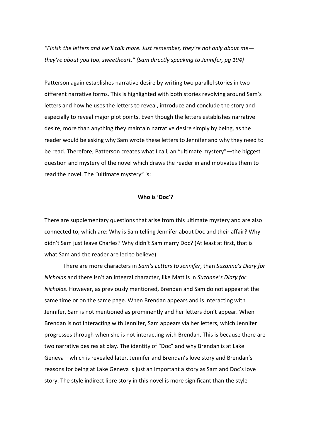*"Finish the letters and we'll talk more. Just remember, they're not only about me they're about you too, sweetheart." (Sam directly speaking to Jennifer, pg 194)*

Patterson again establishes narrative desire by writing two parallel stories in two different narrative forms. This is highlighted with both stories revolving around Sam's letters and how he uses the letters to reveal, introduce and conclude the story and especially to reveal major plot points. Even though the letters establishes narrative desire, more than anything they maintain narrative desire simply by being, as the reader would be asking why Sam wrote these letters to Jennifer and why they need to be read. Therefore, Patterson creates what I call, an "ultimate mystery"—the biggest question and mystery of the novel which draws the reader in and motivates them to read the novel. The "ultimate mystery" is:

### **Who is 'Doc'?**

There are supplementary questions that arise from this ultimate mystery and are also connected to, which are: Why is Sam telling Jennifer about Doc and their affair? Why didn't Sam just leave Charles? Why didn't Sam marry Doc? (At least at first, that is what Sam and the reader are led to believe)

There are more characters in *Sam's Letters to Jennifer*, than *Suzanne's Diary for Nicholas* and there isn't an integral character, like Matt is in *Suzanne's Diary for Nicholas*. However, as previously mentioned, Brendan and Sam do not appear at the same time or on the same page. When Brendan appears and is interacting with Jennifer, Sam is not mentioned as prominently and her letters don't appear. When Brendan is not interacting with Jennifer, Sam appears via her letters, which Jennifer progresses through when she is not interacting with Brendan. This is because there are two narrative desires at play. The identity of "Doc" and why Brendan is at Lake Geneva—which is revealed later. Jennifer and Brendan's love story and Brendan's reasons for being at Lake Geneva is just an important a story as Sam and Doc's love story. The style indirect libre story in this novel is more significant than the style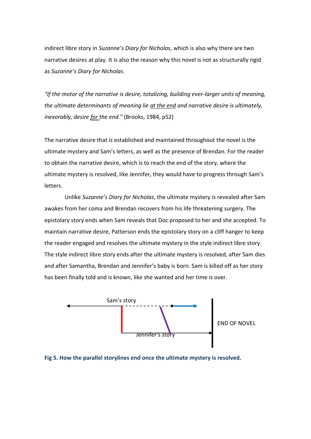indirect libre story in *Suzanne's Diary for Nicholas*, which is also why there are two narrative desires at play. It is also the reason why this novel is not as structurally rigid as *Suzanne's Diary for Nicholas*.

*"If the motor of the narrative is desire, totalizing, building ever-larger units of meaning, the ultimate determinants of meaning lie at the end and narrative desire is ultimately, inexorably, desire for the end."* (Brooks, 1984, p52)

The narrative desire that is established and maintained throughout the novel is the ultimate mystery and Sam's letters, as well as the presence of Brendan. For the reader to obtain the narrative desire, which is to reach the end of the story, where the ultimate mystery is resolved, like Jennifer, they would have to progress through Sam's letters.

Unlike *Suzanne's Diary for Nicholas*, the ultimate mystery is revealed after Sam awakes from her coma and Brendan recovers from his life threatening surgery. The epistolary story ends when Sam reveals that Doc proposed to her and she accepted. To maintain narrative desire, Patterson ends the epistolary story on a cliff hanger to keep the reader engaged and resolves the ultimate mystery in the style indirect libre story. The style indirect libre story ends after the ultimate mystery is resolved, after Sam dies and after Samantha, Brendan and Jennifer's baby is born. Sam is killed off as her story has been finally told and is known, like she wanted and her time is over.



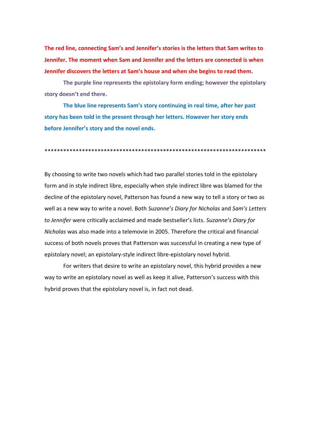**The red line, connecting Sam's and Jennifer's stories is the letters that Sam writes to Jennifer. The moment when Sam and Jennifer and the letters are connected is when Jennifer discovers the letters at Sam's house and when she begins to read them.**

**The purple line represents the epistolary form ending; however the epistolary story doesn't end there.**

**The blue line represents Sam's story continuing in real time, after her past story has been told in the present through her letters. However her story ends before Jennifer's story and the novel ends.**

\*\*\*\*\*\*\*\*\*\*\*\*\*\*\*\*\*\*\*\*\*\*\*\*\*\*\*\*\*\*\*\*\*\*\*\*\*\*\*\*\*\*\*\*\*\*\*\*\*\*\*\*\*\*\*\*\*\*\*\*\*\*\*\*\*\*\*\*\*\*\*

By choosing to write two novels which had two parallel stories told in the epistolary form and in style indirect libre, especially when style indirect libre was blamed for the decline of the epistolary novel, Patterson has found a new way to tell a story or two as well as a new way to write a novel. Both *Suzanne's Diary for Nicholas* and *Sam's Letters to Jennifer* were critically acclaimed and made bestseller's lists. *Suzanne's Diary for Nicholas* was also made into a telemovie in 2005. Therefore the critical and financial success of both novels proves that Patterson was successful in creating a new type of epistolary novel; an epistolary-style indirect libre-epistolary novel hybrid.

For writers that desire to write an epistolary novel, this hybrid provides a new way to write an epistolary novel as well as keep it alive, Patterson's success with this hybrid proves that the epistolary novel is, in fact not dead.